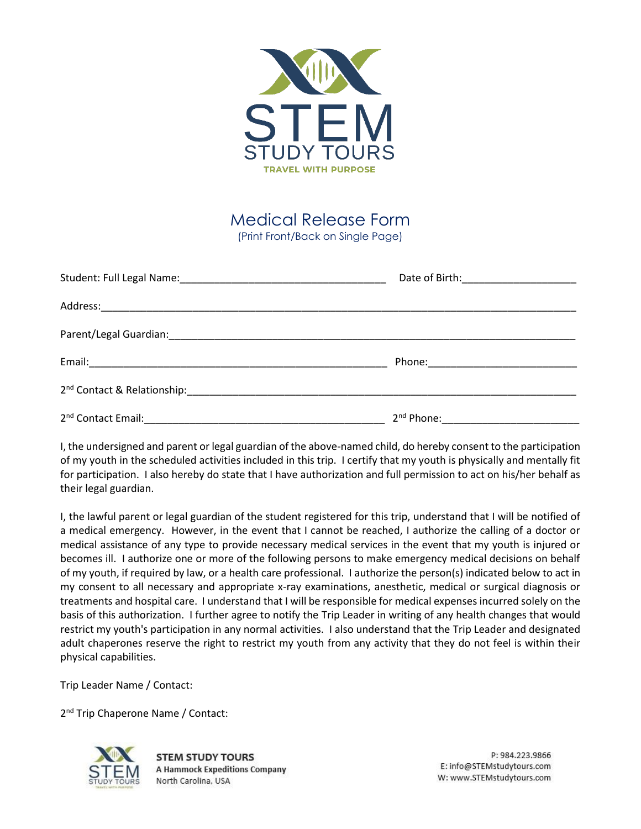

Medical Release Form (Print Front/Back on Single Page)

| 2 <sup>nd</sup> Contact Email: | 2 <sup>nd</sup> Phone: 2000 Phone: |
|--------------------------------|------------------------------------|

I, the undersigned and parent or legal guardian of the above-named child, do hereby consent to the participation of my youth in the scheduled activities included in this trip. I certify that my youth is physically and mentally fit for participation. I also hereby do state that I have authorization and full permission to act on his/her behalf as their legal guardian.

I, the lawful parent or legal guardian of the student registered for this trip, understand that I will be notified of a medical emergency. However, in the event that I cannot be reached, I authorize the calling of a doctor or medical assistance of any type to provide necessary medical services in the event that my youth is injured or becomes ill. I authorize one or more of the following persons to make emergency medical decisions on behalf of my youth, if required by law, or a health care professional. I authorize the person(s) indicated below to act in my consent to all necessary and appropriate x-ray examinations, anesthetic, medical or surgical diagnosis or treatments and hospital care. I understand that I will be responsible for medical expenses incurred solely on the basis of this authorization. I further agree to notify the Trip Leader in writing of any health changes that would restrict my youth's participation in any normal activities. I also understand that the Trip Leader and designated adult chaperones reserve the right to restrict my youth from any activity that they do not feel is within their physical capabilities.

Trip Leader Name / Contact:

2<sup>nd</sup> Trip Chaperone Name / Contact:



**STEM STUDY TOURS A Hammock Expeditions Company** North Carolina, USA

P: 984.223.9866 E: info@STEMstudytours.com W: www.STEMstudytours.com